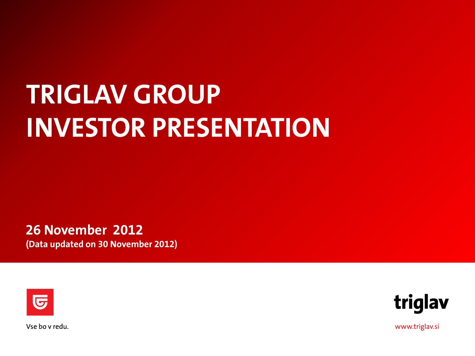# **TRIGLAV GROUP INVESTOR PRESENTATION**

**26 November 2012 (Data updated on 30 November 2012)**





Vse bo v redu.

www.triglav.si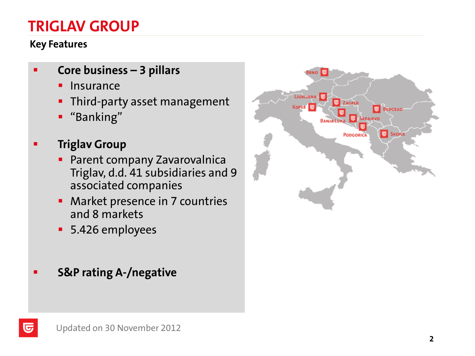# **TRIGLAV GROUP**

#### **Key Features**

- **Core business – 3 pillars**
	- **Insurance**
	- **Third-party asset management**
	- "Banking"
- **Triglav Group** 
	- **Parent company Zavarovalnica** Triglav, d.d. 41 subsidiaries and 9 associated companies
	- **Market presence in 7 countries** and 8 markets
	- 5.426 employees
- **-** S&P rating A-/negative

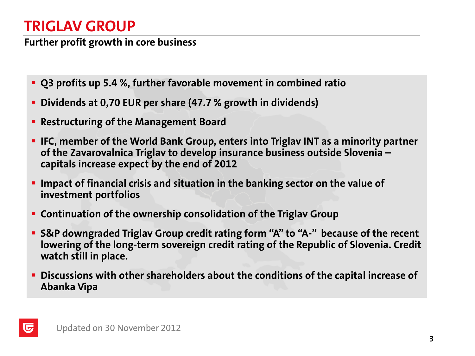# **TRIGLAV GROUP**

**Further profit growth in core business**

- **Q3 profits up 5.4 %, further favorable movement in combined ratio**
- **Dividends at 0,70 EUR per share (47.7 % growth in dividends)**
- **Restructuring of the Management Board**
- **IFC, member of the World Bank Group, enters into Triglav INT as a minority partner of the Zavarovalnica Triglav to develop insurance business outside Slovenia – capitals increase expect by the end of 2012**
- **Impact of financial crisis and situation in the banking sector on the value of investment portfolios**
- **Continuation of the ownership consolidation of the Triglav Group**
- **S&P downgraded Triglav Group credit rating form "A" to "A-" because of the recent lowering of the long-term sovereign credit rating of the Republic of Slovenia. Credit watch still in place.**
- **Discussions with other shareholders about the conditions of the capital increase of Abanka Vipa**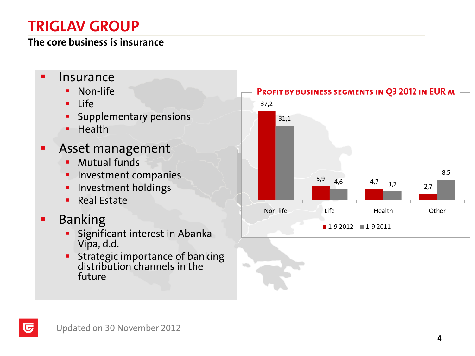# **TRIGLAV GROUP**

#### **The core business is insurance**

- **Insurance** 
	- **Non-life**
	- $Life$
	- Supplementary pensions
	- $H$  Health
- Asset management
	- **Mutual funds**
	- **Investment companies**
	- **Investment holdings**
	- Real Estate
- **Banking**

匠

- Significant interest in Abanka Vipa, d.d.
- **Strategic importance of banking** distribution channels in the future

 $\sqrt{2}$ 

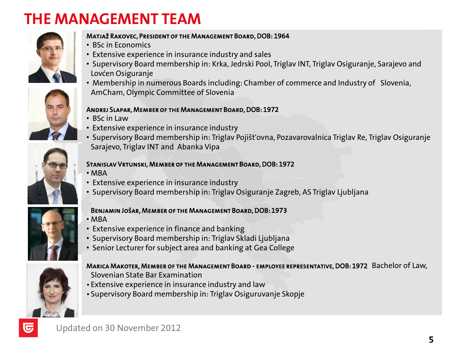# **THE MANAGEMENT TEAM**





#### Matjaž Rakovec, President of the Management Board, DOB: 1964

- BSc in Economics
- Extensive experience in insurance industry and sales
- Supervisory Board membership in: Krka, Jedrski Pool, Triglav INT, Triglav Osiguranje, Sarajevo and Lovćen Osiguranje
- Membership in numerous Boards including: Chamber of commerce and Industry of Slovenia, AmCham, Olympic Committee of Slovenia

#### Andrej Slapar, Member of the Management Board, DOB: 1972

- BSc in Law
- Extensive experience in insurance industry
- Supervisory Board membership in: Triglav Pojišt'ovna, Pozavarovalnica Triglav Re, Triglav Osiguranje Sarajevo, Triglav INT and Abanka Vipa

#### Stanislav Vrtunski, Member of the Management Board, DOB: 1972

- MBA
- Extensive experience in insurance industry
- Supervisory Board membership in: Triglav Osiguranje Zagreb, AS Triglav Ljubljana

#### Benjamin Jošar, Member of the Management Board, DOB: 1973

- MBA
- Extensive experience in finance and banking
- Supervisory Board membership in: Triglav Skladi Ljubljana
- Senior Lecturer for subject area and banking at Gea College



ज

#### Marica Makoter, Member of the Management Board - employee representative, DOB: 1972 Bachelor of Law, Slovenian State Bar Examination

- Extensive experience in insurance industry and law
- Supervisory Board membership in: Triglav Osiguruvanje Skopje

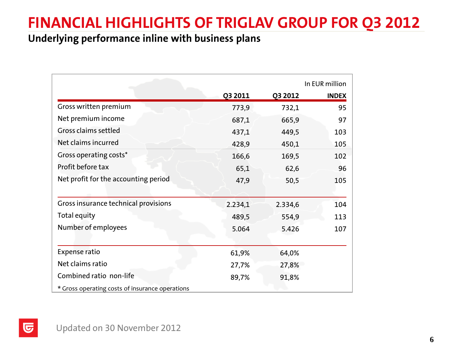# **FINANCIAL HIGHLIGHTS OF TRIGLAV GROUP FOR Q3 2012**

#### **Underlying performance inline with business plans**

|                                                 | In EUR million |         |              |  |  |
|-------------------------------------------------|----------------|---------|--------------|--|--|
|                                                 | Q3 2011        | Q3 2012 | <b>INDEX</b> |  |  |
| Gross written premium                           | 773,9          | 732,1   | 95           |  |  |
| Net premium income                              | 687,1          | 665,9   | 97           |  |  |
| Gross claims settled                            | 437,1          | 449,5   | 103          |  |  |
| Net claims incurred                             | 428,9          | 450,1   | 105          |  |  |
| Gross operating costs*                          | 166,6          | 169,5   | 102          |  |  |
| Profit before tax                               | 65,1           | 62,6    | 96           |  |  |
| Net profit for the accounting period            | 47,9           | 50,5    | 105          |  |  |
|                                                 |                |         |              |  |  |
| Gross insurance technical provisions            | 2.234,1        | 2.334,6 | 104          |  |  |
| Total equity                                    | 489,5          | 554,9   | 113          |  |  |
| Number of employees                             | 5.064          | 5.426   | 107          |  |  |
|                                                 |                |         |              |  |  |
| <b>Expense ratio</b>                            | 61,9%          | 64,0%   |              |  |  |
| Net claims ratio                                | 27,7%          | 27,8%   |              |  |  |
| Combined ratio non-life                         | 89,7%          | 91,8%   |              |  |  |
| * Gross operating costs of insurance operations |                |         |              |  |  |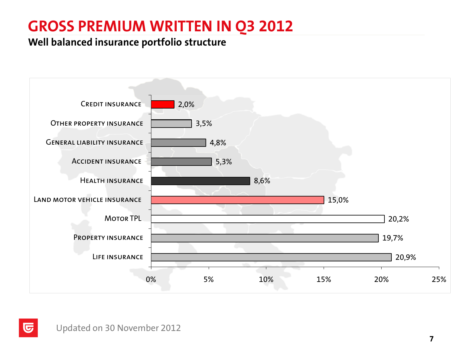# **GROSS PREMIUM WRITTEN IN Q3 2012**

#### **Well balanced insurance portfolio structure**

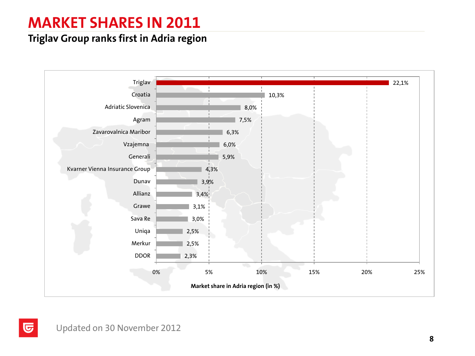# **MARKET SHARES IN 2011**

#### **Triglav Group ranks first in Adria region**

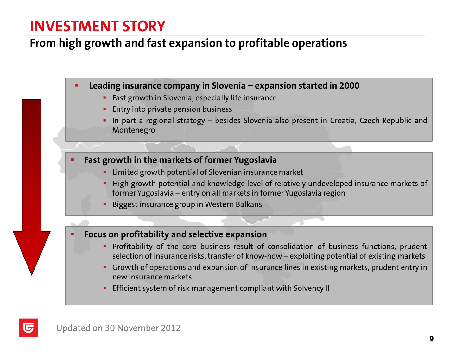### **INVESTMENT STORY**

#### **From high growth and fast expansion to profitable operations**

**Leading insurance company in Slovenia – expansion started in 2000**

- **Fast growth in Slovenia, especially life insurance**
- **Entry into private pension business**
- **In part a regional strategy besides Slovenia also present in Croatia, Czech Republic and** Montenegro

**Fast growth in the markets of former Yugoslavia**

- **EXTERG** Final arouth potential of Slovenian insurance market
- **High growth potential and knowledge level of relatively undeveloped insurance markets of** former Yugoslavia – entry on all markets in former Yugoslavia region
- **Biggest insurance group in Western Balkans**

**Focus on profitability and selective expansion**

- **Profitability of the core business result of consolidation of business functions, prudent** selection of insurance risks, transfer of know-how – exploiting potential of existing markets
- Growth of operations and expansion of insurance lines in existing markets, prudent entry in new insurance markets
- **Efficient system of risk management compliant with Solvency II**

U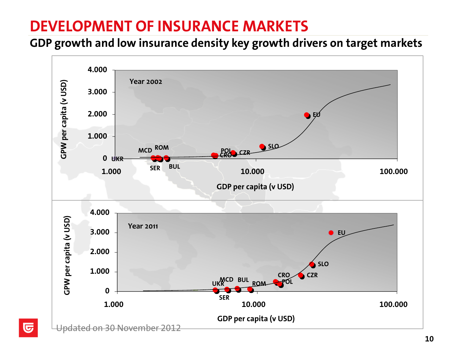# **DEVELOPMENT OF INSURANCE MARKETS**

**GDP growth and low insurance density key growth drivers on target markets**



 $\overline{\mathbf{G}}$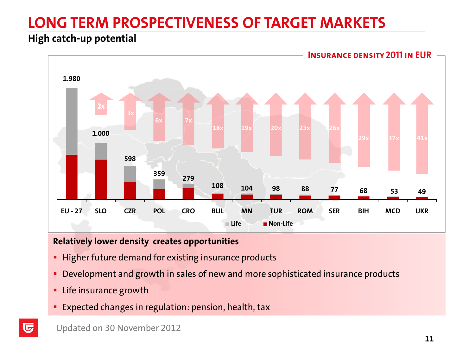# **LONG TERM PROSPECTIVENESS OF TARGET MARKETS**

#### **High catch-up potential**



#### **Relatively lower density creates opportunities**

- **Higher future demand for existing insurance products**
- **Development and growth in sales of new and more sophisticated insurance products**
- **EXEC** insurance growth
- **Expected changes in regulation: pension, health, tax**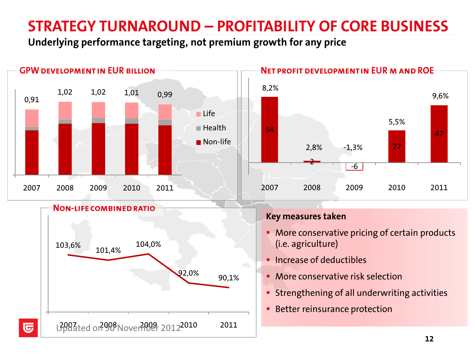# **STRATEGY TURNAROUND – PROFITABILITY OF CORE BUSINESS**

**Underlying performance targeting, not premium growth for any price**

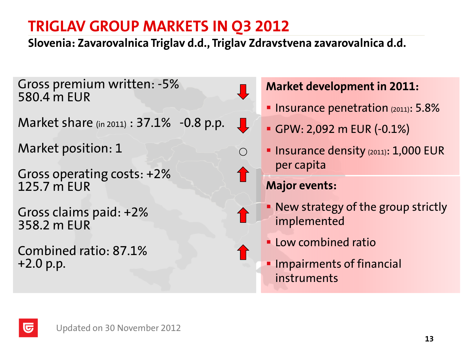**Slovenia: Zavarovalnica Triglav d.d., Triglav Zdravstvena zavarovalnica d.d.**

 $\mathbf{\downarrow}$ 

◯

Gross premium written: -5% 580.4 m EUR

Market share (in 2011) : 37.1% -0.8 p.p.

Market position: 1

Gross operating costs: +2% 125.7 m EUR

Gross claims paid: +2% 358.2 m EUR

Combined ratio: 87.1% +2.0 p.p.

#### **Market development in 2011:**

- **Insurance penetration (2011): 5.8%**
- GPW: 2,092 m EUR (-0.1%)
- **Insurance density (2011): 1,000 EUR** per capita

### **Major events:**

- New strategy of the group strictly implemented
- **Low combined ratio**
- **Impairments of financial** instruments

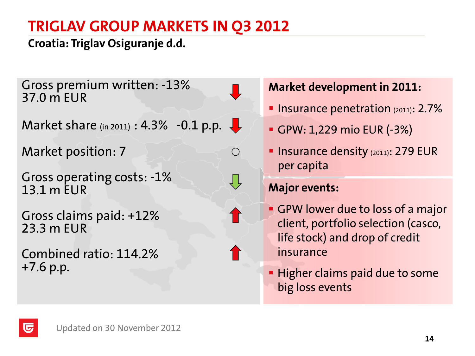### **Croatia: Triglav Osiguranje d.d.**

Gross premium written: -13% 37.0 m EUR

Market share (in 2011) :  $4.3\%$  -0.1 p.p.

Market position: 7

Gross operating costs: -1% 13.1 m EUR

Gross claims paid: +12% 23.3 m EUR

Combined ratio: 114.2% +7.6 p.p.

### **Market development in 2011:**

- **Insurance penetration**  $(2011)$ : 2.7%
- GPW: 1,229 mio EUR (-3%)
- **Insurance density (2011): 279 EUR** per capita

#### **Major events:**

 $\bigcirc$ 

- GPW lower due to loss of a major client, portfolio selection (casco, life stock) and drop of credit insurance
- **Higher claims paid due to some** big loss events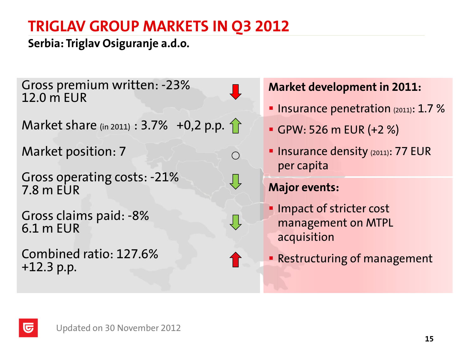**Serbia: Triglav Osiguranje a.d.o.**

Gross premium written: -23% 12.0 m EUR

Market share (in 2011) :  $3.7\%$  +0,2 p.p. 1

Market position: 7

Gross operating costs: -21% 7.8 m EUR

Gross claims paid: -8% 6.1 m EUR

Combined ratio: 127.6% +12.3 p.p.

**Market development in 2011:**

- **Insurance penetration (2011): 1.7 %**
- GPW: 526 m EUR (+2 %)
- **Insurance density (2011): 77 EUR** per capita

### **Major events:**

 $\bigcirc$ 

 $\bigcup$ 

- **Impact of stricter cost** management on MTPL acquisition
- **Restructuring of management**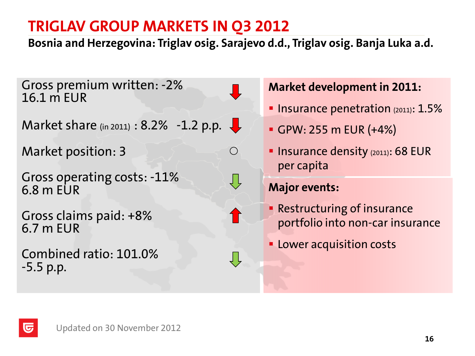**Bosnia and Herzegovina: Triglav osig. Sarajevo d.d., Triglav osig. Banja Luka a.d.**

 $\bigcirc$ 

Gross premium written: -2% 16.1 m EUR

Market share (in 2011) : 8.2% -1.2 p.p.  $\downarrow$ 

Market position: 3

Gross operating costs: -11% 6.8 m EUR

Gross claims paid: +8% 6.7 m EUR

Combined ratio: 101.0% -5.5 p.p.

匠

#### **Market development in 2011:**

- **Insurance penetration**  $(2011)$ :  $1.5%$
- GPW: 255 m EUR (+4%)
- **Insurance density (2011): 68 EUR** per capita

#### **Major events:**

- **Restructuring of insurance** portfolio into non-car insurance
- **Lower acquisition costs**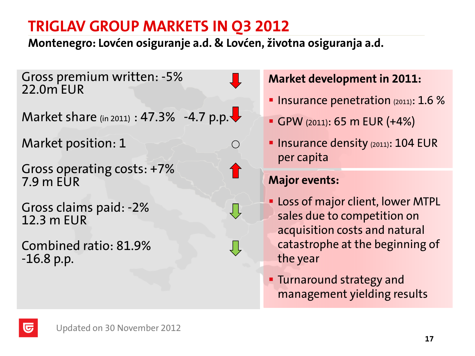**Montenegro: Lovćen osiguranje a.d. & Lovćen, životna osiguranja a.d.**

 $\bigcirc$ 

Gross premium written: -5% 22.0m EUR

Market share (in 2011) : 47.3% -4.7 p.p. $\blacktriangleright$ 

Market position: 1

Gross operating costs: +7% 7.9 m EUR

Gross claims paid: -2% 12.3 m EUR

Combined ratio: 81.9% -16.8 p.p.

#### **Market development in 2011:**

- **Insurance penetration**  $(2011)$ : 1.6 %
- GPW (2011): 65 m EUR (+4%)
- **Insurance density (2011): 104 EUR** per capita

### **Major events:**

- **Loss of major client, lower MTPL** sales due to competition on acquisition costs and natural catastrophe at the beginning of the year
- **Turnaround strategy and** management yielding results

lU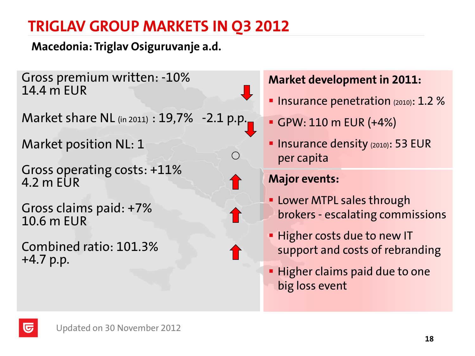**Macedonia: Triglav Osiguruvanje a.d.**

Gross premium written: -10% 14.4 m EUR

Market share NL (in 2011) : 19,7% -2.1 p.p.

Market position NL: 1

Gross operating costs: +11% 4.2 m EUR

Gross claims paid: +7% 10.6 m EUR

Combined ratio: 101.3% +4.7 p.p.

#### **Market development in 2011:**

- **Insurance penetration**  $(2010)$ : 1.2 %
- GPW: 110 m EUR (+4%)
- **Insurance density (2010): 53 EUR** per capita

#### **Major events:**

- **Lower MTPL sales through** brokers - escalating commissions
- **Higher costs due to new IT** support and costs of rebranding
- **Higher claims paid due to one** big loss event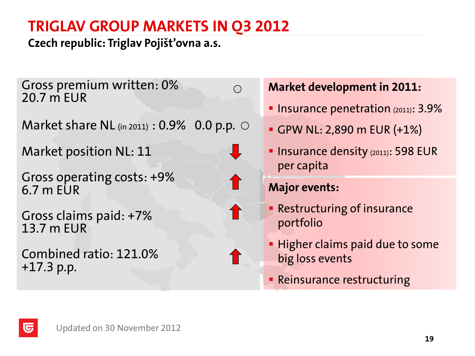**Czech republic: Triglav Pojišt'ovna a.s.**

Gross premium written: 0% 20.7 m EUR

Market share NL  $_{(in 2011)}$  : 0.9% 0.0 p.p.  $\circ$ 

Market position NL: 11

Gross operating costs: +9% 6.7 m EUR

Gross claims paid: +7% 13.7 m EUR

Combined ratio: 121.0% +17.3 p.p.

#### **Market development in 2011:**

- **Insurance penetration (2011): 3.9%**
- GPW NL: 2,890 m EUR (+1%)
- **Insurance density (2011): 598 EUR** per capita

#### **Major events:**

- **Restructuring of insurance** portfolio
- **Higher claims paid due to some** big loss events
- **Reinsurance restructuring**



 $\bigcap$ 



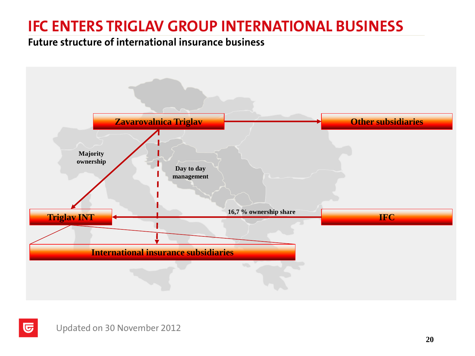# **IFC ENTERS TRIGLAV GROUP INTERNATIONAL BUSINESS**

#### **Future structure of international insurance business**



 $\overline{\mathbf{G}}$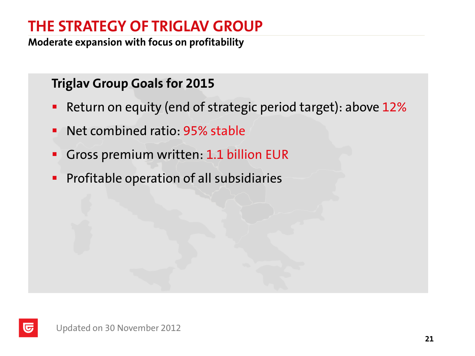# **THE STRATEGY OF TRIGLAV GROUP**

**Moderate expansion with focus on profitability**

### **Triglav Group Goals for 2015**

- **Return on equity (end of strategic period target): above 12%**
- **Net combined ratio: 95% stable**
- Gross premium written: 1.1 billion EUR
- **Profitable operation of all subsidiaries**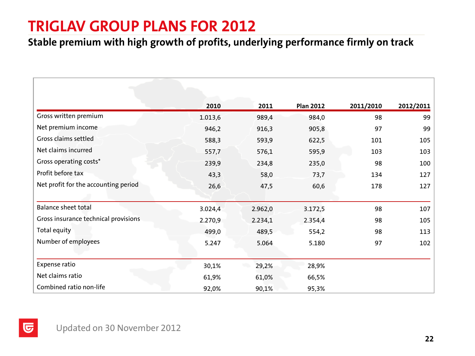### **TRIGLAV GROUP PLANS FOR 2012**

#### **Stable premium with high growth of profits, underlying performance firmly on track**

|                                      | 2010    | 2011    | <b>Plan 2012</b> | 2011/2010 | 2012/2011 |
|--------------------------------------|---------|---------|------------------|-----------|-----------|
| Gross written premium                | 1.013,6 | 989,4   | 984,0            | 98        | 99        |
| Net premium income                   | 946,2   | 916,3   | 905,8            | 97        | 99        |
| Gross claims settled                 | 588,3   | 593,9   | 622,5            | 101       | 105       |
| Net claims incurred                  | 557,7   | 576,1   | 595,9            | 103       | 103       |
| Gross operating costs*               | 239,9   | 234,8   | 235,0            | 98        | 100       |
| Profit before tax                    | 43,3    | 58,0    | 73,7             | 134       | 127       |
| Net profit for the accounting period | 26,6    | 47,5    | 60,6             | 178       | 127       |
|                                      |         |         |                  |           |           |
| <b>Balance sheet total</b>           | 3.024,4 | 2.962,0 | 3.172,5          | 98        | 107       |
| Gross insurance technical provisions | 2.270,9 | 2.234,1 | 2.354,4          | 98        | 105       |
| Total equity                         | 499,0   | 489,5   | 554,2            | 98        | 113       |
| Number of employees                  | 5.247   | 5.064   | 5.180            | 97        | 102       |
|                                      |         |         |                  |           |           |
| Expense ratio                        | 30,1%   | 29,2%   | 28,9%            |           |           |
| Net claims ratio                     | 61,9%   | 61,0%   | 66,5%            |           |           |
| Combined ratio non-life              | 92,0%   | 90,1%   | 95,3%            |           |           |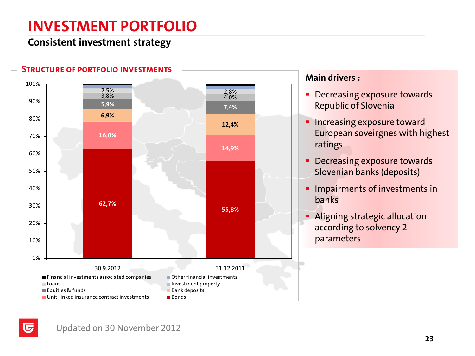# **INVESTMENT PORTFOLIO**

#### **Consistent investment strategy**



#### **Main drivers :**

- **Decreasing exposure towards** Republic of Slovenia
- **Increasing exposure toward** European soveirgnes with highest ratings
- **Decreasing exposure towards** Slovenian banks (deposits)
- **Impairments of investments in** banks
- **Aligning strategic allocation** according to solvency 2 parameters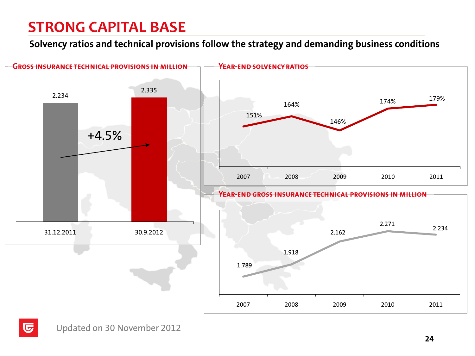# **STRONG CAPITAL BASE**

**Solvency ratios and technical provisions follow the strategy and demanding business conditions**

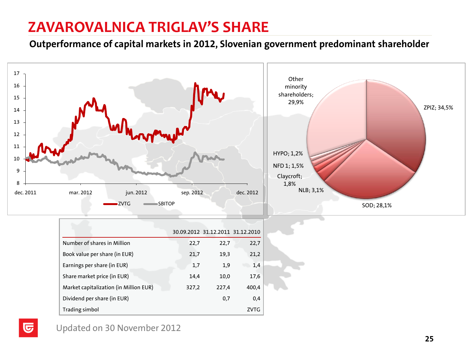### **ZAVAROVALNICA TRIGLAV'S SHARE**

**Outperformance of capital markets in 2012, Slovenian government predominant shareholder**

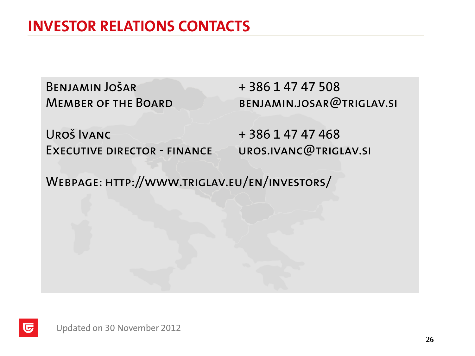# **INVESTOR RELATIONS CONTACTS**

BENJAMIN JOŠAR + 386 1 47 47 508

MEMBER OF THE BOARD BENJAMIN.JOSAR@TRIGLAV.SI

 $URO\check{S}$  IVANC  $+ 386 147 47 468$ EXECUTIVE DIRECTOR - FINANCE UROS.IVANC@TRIGLAV.SI

Webpage: http://www.triglav.eu/en/investors/